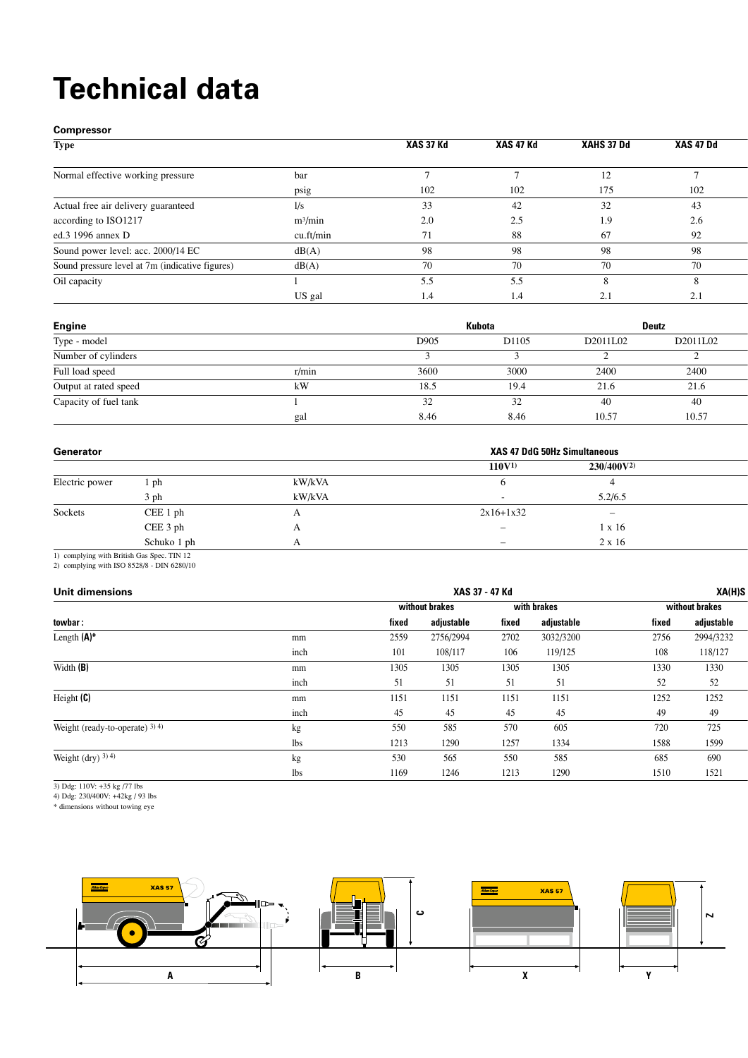## **Technical data**

**Compressor**

| <b>Type</b>                                     |                     | XAS 37 Kd | XAS 47 Kd | <b>XAHS 37 Dd</b> | XAS 47 Dd |
|-------------------------------------------------|---------------------|-----------|-----------|-------------------|-----------|
| Normal effective working pressure               | bar                 |           |           | 12                |           |
|                                                 | DS12                | 102       | 102       | 175               | 102       |
| Actual free air delivery guaranteed             | l/s                 | 33        |           |                   | 43        |
| according to ISO1217                            | m <sup>3</sup> /min | 2.0       | 2.5       | 1.9               | 2.6       |
| ed.3 1996 annex D                               | cu.ft/min           | 71        | 88        |                   | 92        |
| Sound power level: acc. 2000/14 EC              | dB(A)               | 98        |           | 98                | -98       |
| Sound pressure level at 7m (indicative figures) | dB(A)               |           |           |                   |           |
| Oil capacity                                    |                     | 5.5       |           |                   |           |
|                                                 | US gal              | 1.4       |           |                   | 2.1       |

| <b>Engine</b>         |       |      | Kubota |          | <b>Deutz</b> |
|-----------------------|-------|------|--------|----------|--------------|
| Type - model          |       | D905 | D1105  | D2011L02 | D2011L02     |
| Number of cylinders   |       |      |        |          |              |
| Full load speed       | r/min | 3600 | 3000   | 2400     | 2400         |
| Output at rated speed | kW    | 18.5 | 19.4   | 21.6     | 21.0         |
| Capacity of fuel tank |       |      |        |          |              |
|                       |       | 8.46 | 8.46   | 10.57    | 10.57        |

| Generator      |             |        | <b>XAS 47 DdG 50Hz Simultaneous</b> |                |  |
|----------------|-------------|--------|-------------------------------------|----------------|--|
|                |             |        | $110V^{1)}$                         | $230/400V^{2}$ |  |
| Electric power | . ph        | kW/kVA |                                     |                |  |
|                |             | kW/kVA |                                     | 5.2/6.5        |  |
| Sockets        | CEE 1 ph    |        | $2x16+1x32$                         |                |  |
|                | CEE 3 ph    |        |                                     | 1 x 16         |  |
|                | Schuko 1 ph |        |                                     | 2 x 16         |  |
|                |             |        |                                     |                |  |

1) complying with British Gas Spec. TIN 12

2) complying with ISO 8528/8 - DIN 6280/10

| <b>Unit dimensions</b>          |            | XAS 37 - 47 Kd |                |       |             | XA(H)S |                |  |
|---------------------------------|------------|----------------|----------------|-------|-------------|--------|----------------|--|
|                                 |            |                | without brakes |       | with brakes |        | without brakes |  |
| towbar:                         |            | fixed          | adjustable     | fixed | adjustable  | fixed  | adjustable     |  |
| Length $(A)^*$                  | mm         | 2559           | 2756/2994      | 2702  | 3032/3200   | 2756   | 2994/3232      |  |
|                                 | inch       | 101            | 108/117        | 106   | 119/125     | 108    | 118/127        |  |
| Width(B)                        | mm         | 1305           | 1305           | 1305  | 1305        | 1330   | 1330           |  |
|                                 | inch       |                | 51             | 51    | 51          | 52     | 52             |  |
| Height (C)                      | mm         | 1151           | 1151           | 1151  | 1151        | 1252   | 1252           |  |
|                                 | inch       | 45             | 45             | 4٦    | 45          | 49     | 49             |  |
| Weight (ready-to-operate) 3) 4) | kg         | 550            | 585            | 570   | 605         | 720    | 725            |  |
|                                 | <b>lbs</b> | 1213           | 1290           | 1257  | 1334        | 1588   | 1599           |  |
| Weight (dry) $^{3)}$ 4)         |            | 530            | 565            | 550   | 585         | 685    | 690            |  |
|                                 | lbs        | 1169           | 1246           | 1213  | 1290        | 1510   | 1521           |  |

3) Ddg: 110V: +35 kg /77 lbs

4) Ddg: 230/400V: +42kg / 93 lbs

\* dimensions without towing eye